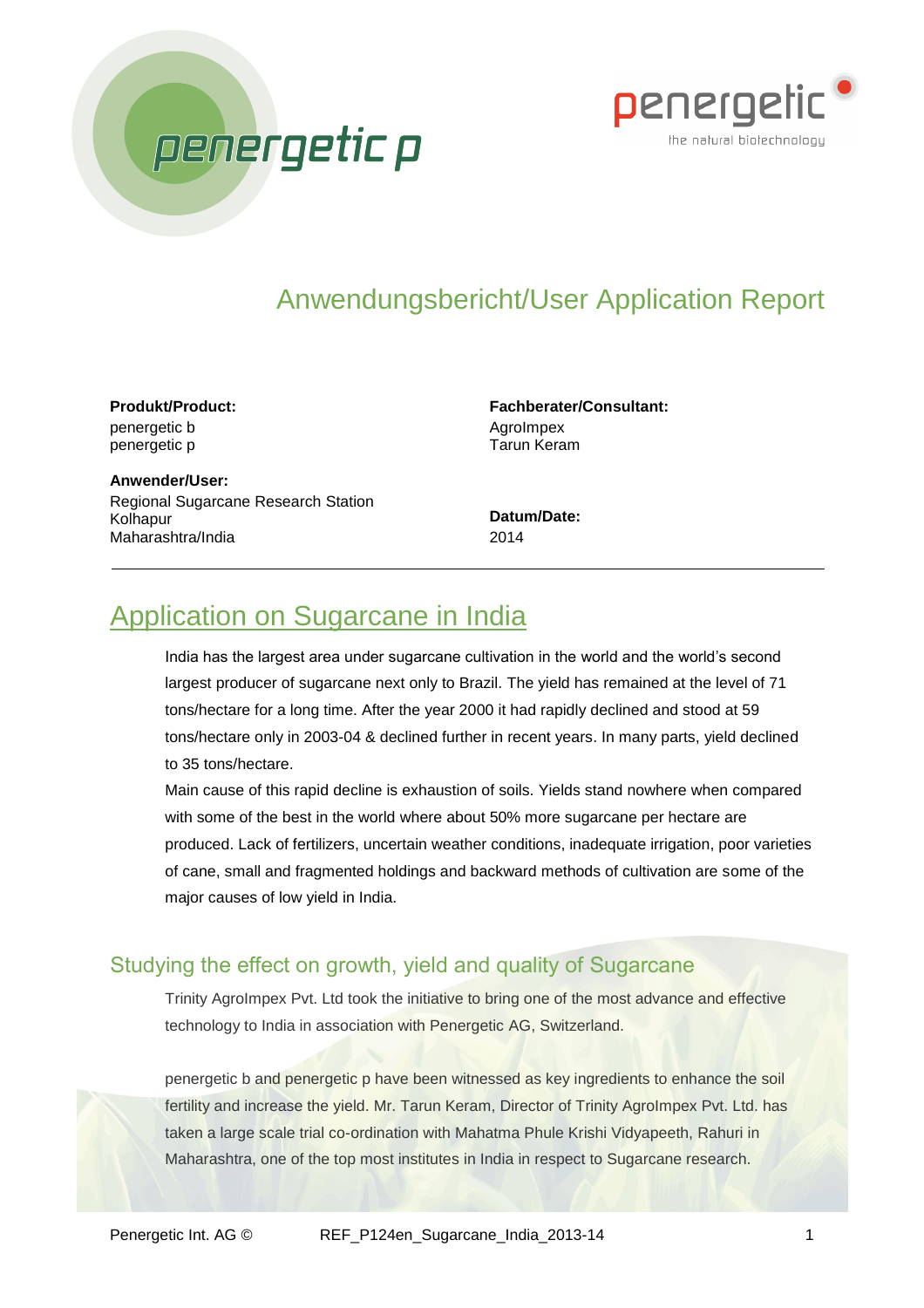



# Anwendungsbericht/User Application Report

#### **Produkt/Product:** penergetic b penergetic p

**Anwender/User:** Regional Sugarcane Research Station Kolhapur Maharashtra/India

#### **Fachberater/Consultant: AgroImpex** Tarun Keram

**Datum/Date:** 2014

## Application on Sugarcane in India

India has the largest area under sugarcane cultivation in the world and the world's second largest producer of sugarcane next only to Brazil. The yield has remained at the level of 71 tons/hectare for a long time. After the year 2000 it had rapidly declined and stood at 59 tons/hectare only in 2003-04 & declined further in recent years. In many parts, yield declined to 35 tons/hectare.

Main cause of this rapid decline is exhaustion of soils. Yields stand nowhere when compared with some of the best in the world where about 50% more sugarcane per hectare are produced. Lack of fertilizers, uncertain weather conditions, inadequate irrigation, poor varieties of cane, small and fragmented holdings and backward methods of cultivation are some of the major causes of low yield in India.

## Studying the effect on growth, yield and quality of Sugarcane

Trinity AgroImpex Pvt. Ltd took the initiative to bring one of the most advance and effective technology to India in association with Penergetic AG, Switzerland.

penergetic b and penergetic p have been witnessed as key ingredients to enhance the soil fertility and increase the yield. Mr. Tarun Keram, Director of Trinity AgroImpex Pvt. Ltd. has taken a large scale trial co-ordination with Mahatma Phule Krishi Vidyapeeth, Rahuri in Maharashtra, one of the top most institutes in India in respect to Sugarcane research.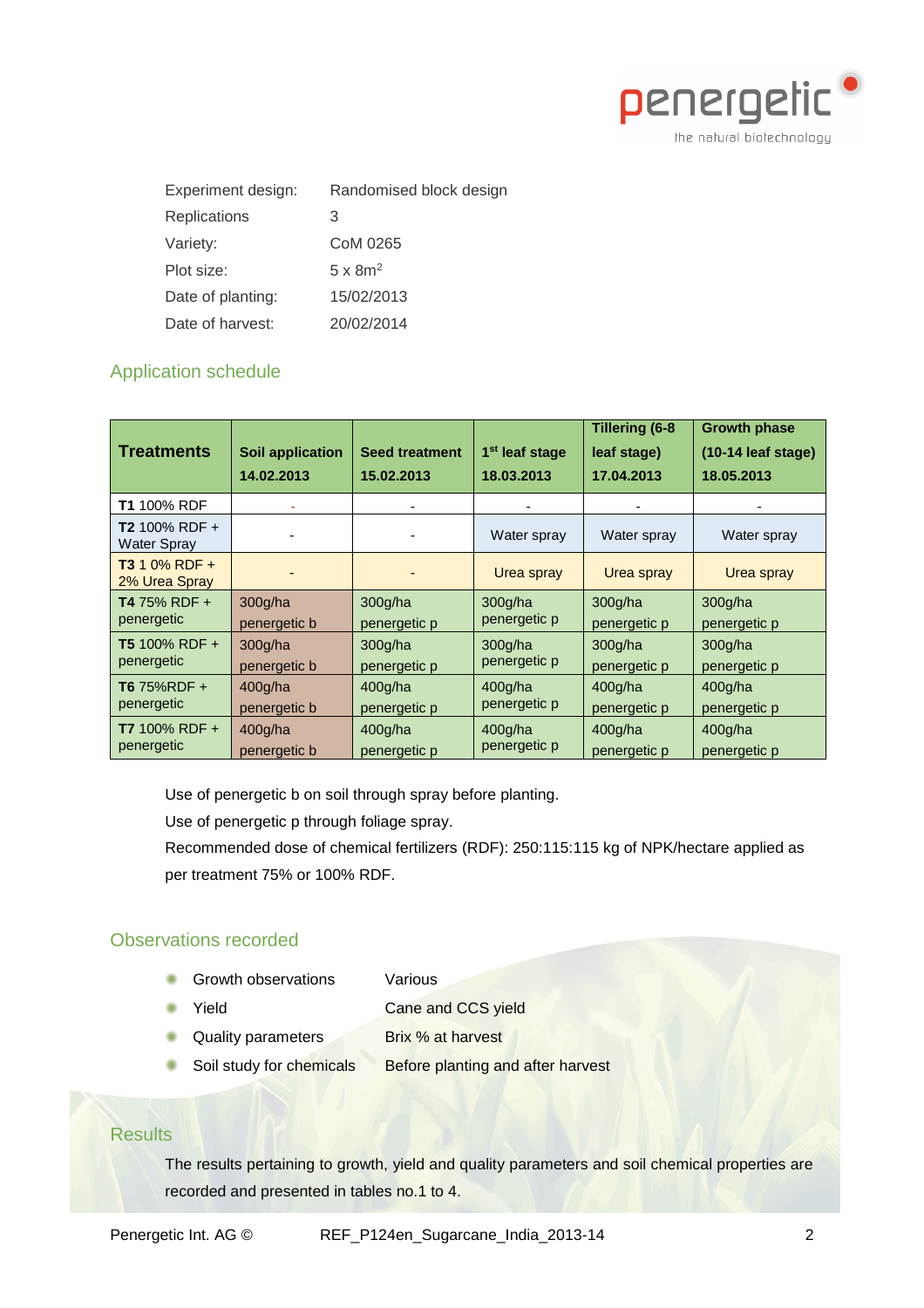

| Experiment design:  | Randomised block design |  |  |  |  |
|---------------------|-------------------------|--|--|--|--|
| <b>Replications</b> | З                       |  |  |  |  |
| Variety:            | CoM 0265                |  |  |  |  |
| Plot size:          | $5 \times 8m^2$         |  |  |  |  |
| Date of planting:   | 15/02/2013              |  |  |  |  |
| Date of harvest:    | 20/02/2014              |  |  |  |  |

## Application schedule

| <b>Treatments</b>                     | <b>Soil application</b><br>14.02.2013 | <b>Seed treatment</b><br>15.02.2013 | 1 <sup>st</sup> leaf stage<br>18.03.2013 | <b>Tillering (6-8</b><br>leaf stage)<br>17.04.2013 | <b>Growth phase</b><br>(10-14 leaf stage)<br>18.05.2013 |
|---------------------------------------|---------------------------------------|-------------------------------------|------------------------------------------|----------------------------------------------------|---------------------------------------------------------|
| <b>T1</b> 100% RDF                    |                                       |                                     |                                          |                                                    |                                                         |
| <b>T2</b> 100% RDF +<br>Water Spray   |                                       |                                     | Water spray                              | Water spray                                        | Water spray                                             |
| <b>T3</b> 1 0% RDF +<br>2% Urea Spray |                                       |                                     | Urea spray                               | Urea spray                                         | Urea spray                                              |
| <b>T4</b> 75% RDF +                   | 300g/ha                               | 300g/ha                             | 300q/ha                                  | 300q/ha                                            | 300 <sub>g</sub> /ha                                    |
| penergetic                            | penergetic b                          | penergetic p                        | penergetic p                             | penergetic p                                       | penergetic p                                            |
| <b>T5</b> 100% RDF +                  | 300 <sub>g</sub> /ha                  | 300 <sub>g</sub> /ha                | 300q/ha                                  | 300 <sub>g</sub> /ha                               | 300 <sub>g</sub> /ha                                    |
| penergetic                            | penergetic b                          | penergetic p                        | penergetic p                             | penergetic p                                       | penergetic p                                            |
| T6 75%RDF +                           | 400q/ha                               | 400q/ha                             | 400g/ha                                  | 400 <sub>g</sub> /ha                               | 400 <sub>g</sub> /ha                                    |
| penergetic                            | penergetic b                          | penergetic p                        | penergetic p                             | penergetic p                                       | penergetic p                                            |
| <b>T7</b> 100% RDF +                  | 400g/ha                               | 400q/ha                             | 400q/ha                                  | 400q/ha                                            | 400 <sub>g</sub> /ha                                    |
| penergetic                            | penergetic b                          | penergetic p                        | penergetic p                             | penergetic p                                       | penergetic p                                            |

Use of penergetic b on soil through spray before planting.

Use of penergetic p through foliage spray.

Recommended dose of chemical fertilizers (RDF): 250:115:115 kg of NPK/hectare applied as per treatment 75% or 100% RDF.

## Observations recorded

Growth observations Various

Yield Cane and CCS yield

Quality parameters Brix % at harvest

Soil study for chemicals Before planting and after harvest

## **Results**

The results pertaining to growth, yield and quality parameters and soil chemical properties are recorded and presented in tables no.1 to 4.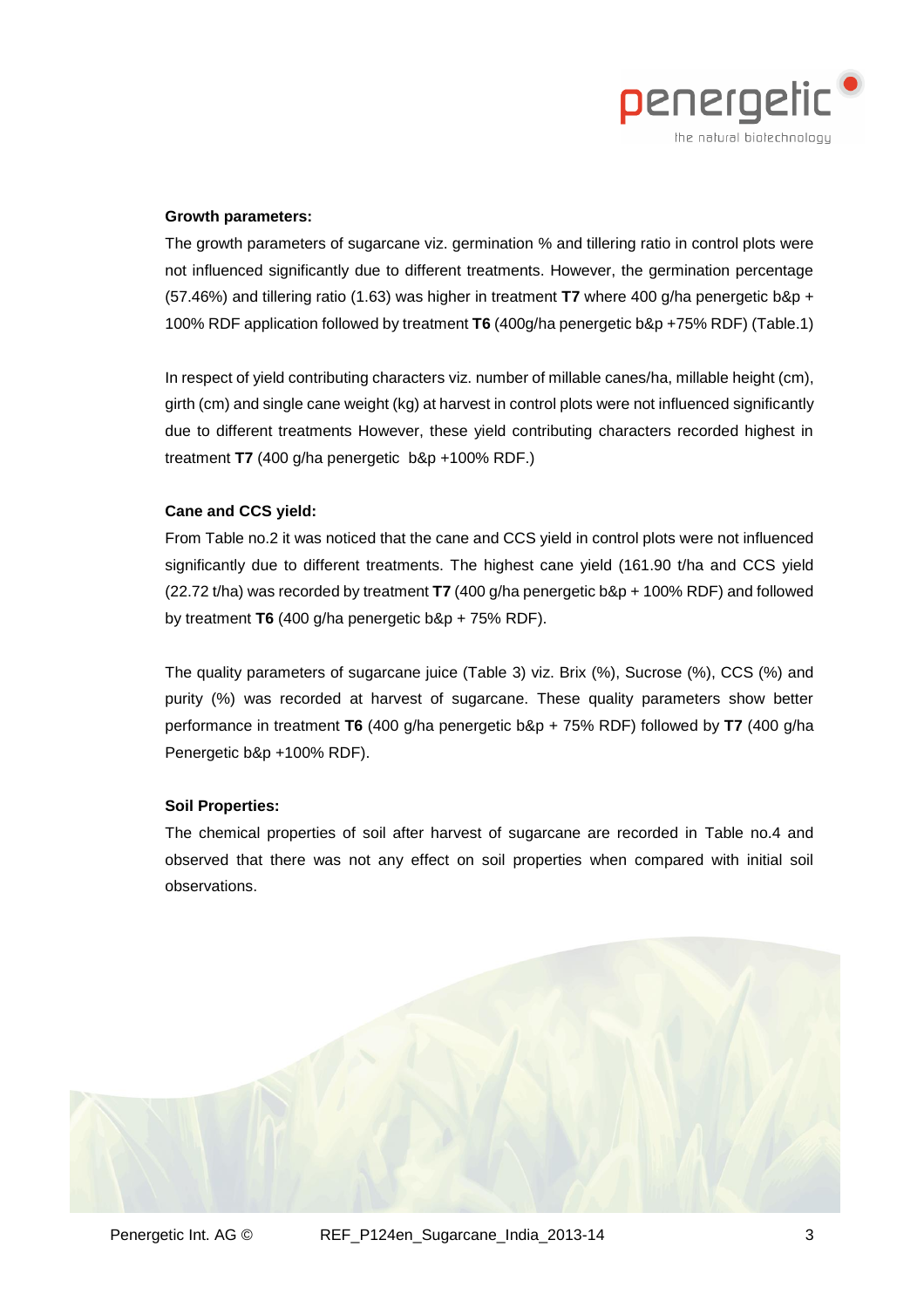

#### **Growth parameters:**

The growth parameters of sugarcane viz. germination % and tillering ratio in control plots were not influenced significantly due to different treatments. However, the germination percentage (57.46%) and tillering ratio (1.63) was higher in treatment **T7** where 400 g/ha penergetic b&p + 100% RDF application followed by treatment **T6** (400g/ha penergetic b&p +75% RDF) (Table.1)

In respect of yield contributing characters viz. number of millable canes/ha, millable height (cm), girth (cm) and single cane weight (kg) at harvest in control plots were not influenced significantly due to different treatments However, these yield contributing characters recorded highest in treatment **T7** (400 g/ha penergetic b&p +100% RDF.)

#### **Cane and CCS yield:**

From Table no.2 it was noticed that the cane and CCS yield in control plots were not influenced significantly due to different treatments. The highest cane yield (161.90 t/ha and CCS yield (22.72 t/ha) was recorded by treatment **T7** (400 g/ha penergetic b&p + 100% RDF) and followed by treatment **T6** (400 g/ha penergetic b&p + 75% RDF).

The quality parameters of sugarcane juice (Table 3) viz. Brix (%), Sucrose (%), CCS (%) and purity (%) was recorded at harvest of sugarcane. These quality parameters show better performance in treatment **T6** (400 g/ha penergetic b&p + 75% RDF) followed by **T7** (400 g/ha Penergetic b&p +100% RDF).

#### **Soil Properties:**

The chemical properties of soil after harvest of sugarcane are recorded in Table no.4 and observed that there was not any effect on soil properties when compared with initial soil observations.

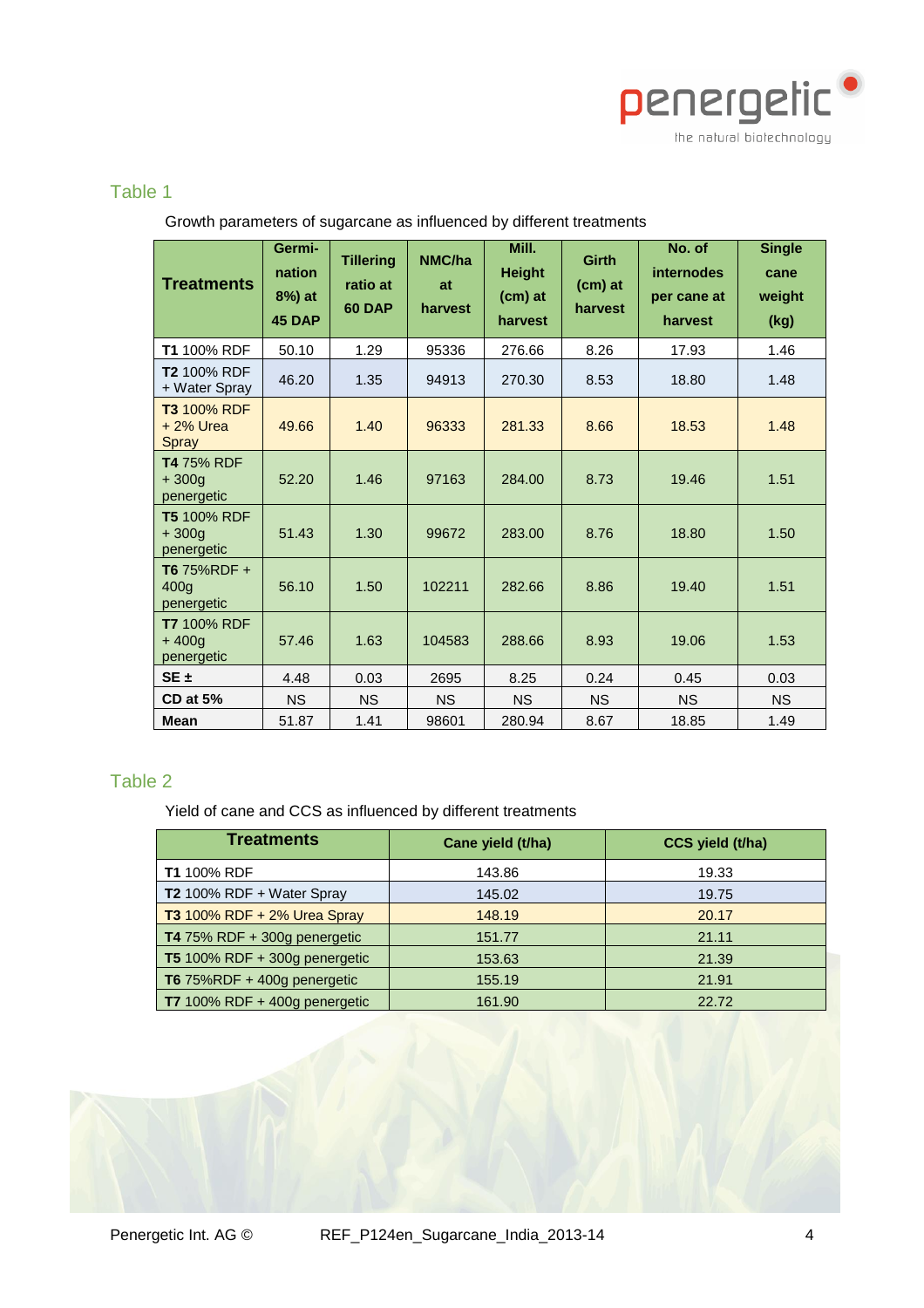

## Table 1

| <b>Treatments</b>                           | Germi-<br>nation<br>8%) at<br><b>45 DAP</b> | <b>Tillering</b><br>ratio at<br><b>60 DAP</b> | NMC/ha<br>at<br>harvest | Mill.<br><b>Height</b><br>(cm) at<br>harvest | <b>Girth</b><br>(cm) at<br>harvest | No. of<br><b>internodes</b><br>per cane at<br>harvest | <b>Single</b><br>cane<br>weight<br>(kg) |
|---------------------------------------------|---------------------------------------------|-----------------------------------------------|-------------------------|----------------------------------------------|------------------------------------|-------------------------------------------------------|-----------------------------------------|
| <b>T1 100% RDF</b>                          | 50.10                                       | 1.29                                          | 95336                   | 276.66                                       | 8.26                               | 17.93                                                 | 1.46                                    |
| <b>T2 100% RDF</b><br>+ Water Spray         | 46.20                                       | 1.35                                          | 94913                   | 270.30                                       | 8.53                               | 18.80                                                 | 1.48                                    |
| T3 100% RDF<br>$+2\%$ Urea<br>Spray         | 49.66                                       | 1.40                                          | 96333                   | 281.33                                       | 8.66                               | 18.53                                                 | 1.48                                    |
| <b>T4 75% RDF</b><br>$+300q$<br>penergetic  | 52.20                                       | 1.46                                          | 97163                   | 284.00                                       | 8.73                               | 19.46                                                 | 1.51                                    |
| <b>T5 100% RDF</b><br>$+300a$<br>penergetic | 51.43                                       | 1.30                                          | 99672                   | 283.00                                       | 8.76                               | 18.80                                                 | 1.50                                    |
| T6 75%RDF +<br>400a<br>penergetic           | 56.10                                       | 1.50                                          | 102211                  | 282.66                                       | 8.86<br>19.40                      |                                                       | 1.51                                    |
| <b>T7 100% RDF</b><br>$+400a$<br>penergetic | 57.46                                       | 1.63                                          | 104583                  | 288.66                                       | 8.93                               | 19.06                                                 | 1.53                                    |
| $SE +$                                      | 4.48                                        | 0.03                                          | 2695                    | 8.25                                         | 0.24                               | 0.45                                                  | 0.03                                    |
| <b>CD at 5%</b>                             | <b>NS</b>                                   | <b>NS</b>                                     | <b>NS</b>               | <b>NS</b>                                    | <b>NS</b>                          | <b>NS</b>                                             | <b>NS</b>                               |
| Mean                                        | 51.87                                       | 1.41                                          | 98601                   | 280.94                                       | 8.67                               | 18.85                                                 | 1.49                                    |

#### Growth parameters of sugarcane as influenced by different treatments

## Table 2

Yield of cane and CCS as influenced by different treatments

| <b>Treatments</b>                    | Cane yield (t/ha) | CCS yield (t/ha) |  |  |
|--------------------------------------|-------------------|------------------|--|--|
| <b>T1</b> 100% RDF                   | 143.86            | 19.33            |  |  |
| T2 100% RDF + Water Spray            | 145.02            | 19.75            |  |  |
| <b>T3</b> 100% RDF + 2% Urea Spray   | 148.19            | 20.17            |  |  |
| T4 75% RDF + 300g penergetic         | 151.77            | 21.11            |  |  |
| <b>T5</b> 100% RDF + 300g penergetic | 153.63            | 21.39            |  |  |
| T6 75%RDF + 400g penergetic          | 155.19            | 21.91            |  |  |
| T7 100% RDF + 400g penergetic        | 161.90            | 22.72            |  |  |